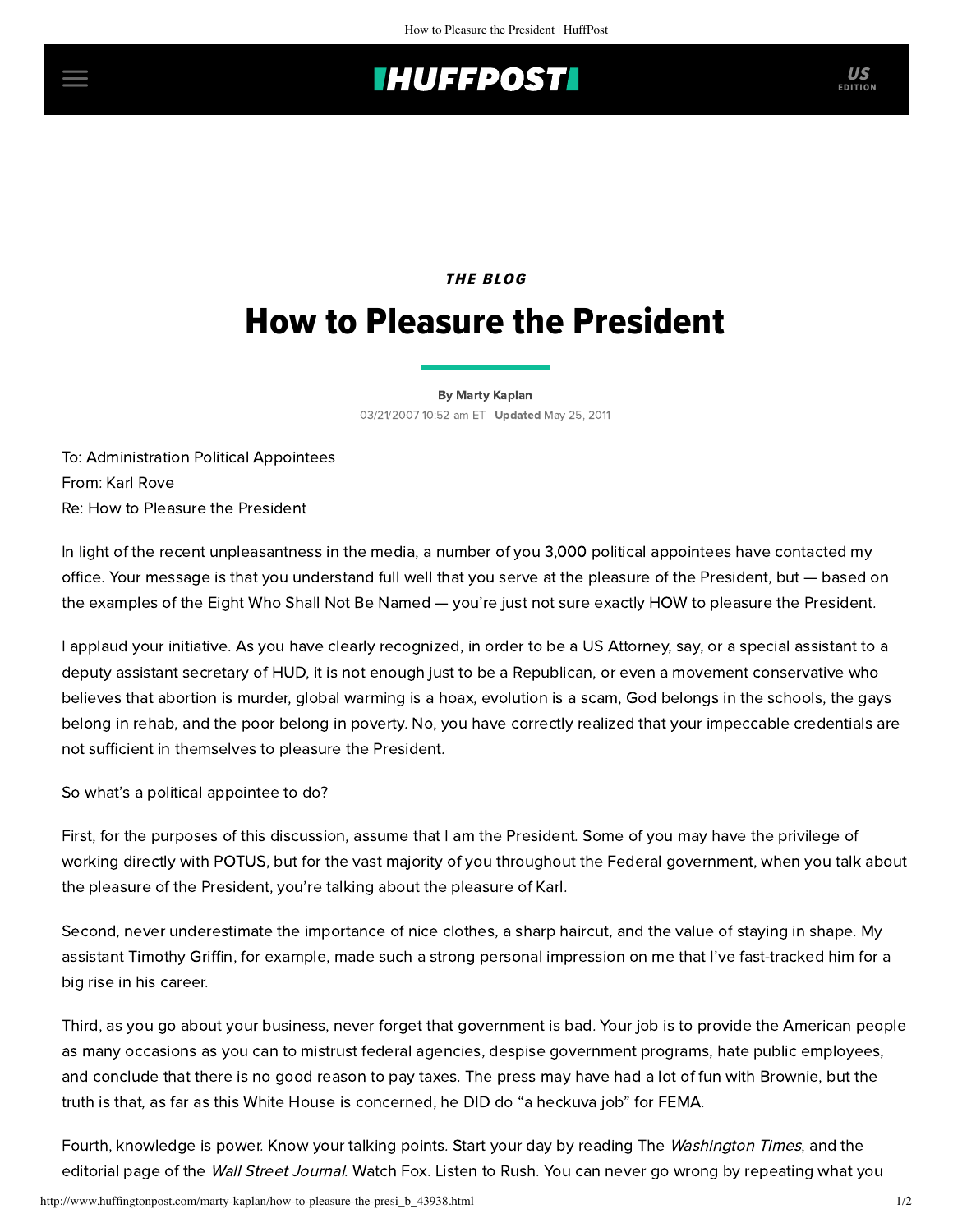## **IHUFFPOSTI** US

## **THE BLOG**

## How to Pleasure the President

[By Marty Kaplan](http://www.huffingtonpost.com/author/marty-kaplan) 03/21/2007 10:52 am ET | Updated May 25, 2011

To: Administration Political Appointees From: Karl Rove Re: How to Pleasure the President

In light of the recent unpleasantness in the media, a number of you 3,000 political appointees have contacted my office. Your message is that you understand full well that you serve at the pleasure of the President, but — based on the examples of the Eight Who Shall Not Be Named — you're just not sure exactly HOW to pleasure the President.

I applaud your initiative. As you have clearly recognized, in order to be a US Attorney, say, or a special assistant to a deputy assistant secretary of HUD, it is not enough just to be a Republican, or even a movement conservative who believes that abortion is murder, global warming is a hoax, evolution is a scam, God belongs in the schools, the gays belong in rehab, and the poor belong in poverty. No, you have correctly realized that your impeccable credentials are not sufficient in themselves to pleasure the President.

So what's a political appointee to do?

First, for the purposes of this discussion, assume that I am the President. Some of you may have the privilege of working directly with POTUS, but for the vast majority of you throughout the Federal government, when you talk about the pleasure of the President, you're talking about the pleasure of Karl.

Second, never underestimate the importance of nice clothes, a sharp haircut, and the value of staying in shape. My assistant Timothy Griffin, for example, made such a strong personal impression on me that I've fast-tracked him for a big rise in his career.

Third, as you go about your business, never forget that government is bad. Your job is to provide the American people as many occasions as you can to mistrust federal agencies, despise government programs, hate public employees, and conclude that there is no good reason to pay taxes. The press may have had a lot of fun with Brownie, but the truth is that, as far as this White House is concerned, he DID do "a heckuva job" for FEMA.

Fourth, knowledge is power. Know your talking points. Start your day by reading The Washington Times, and the editorial page of the Wall Street Journal. Watch Fox. Listen to Rush. You can never go wrong by repeating what you